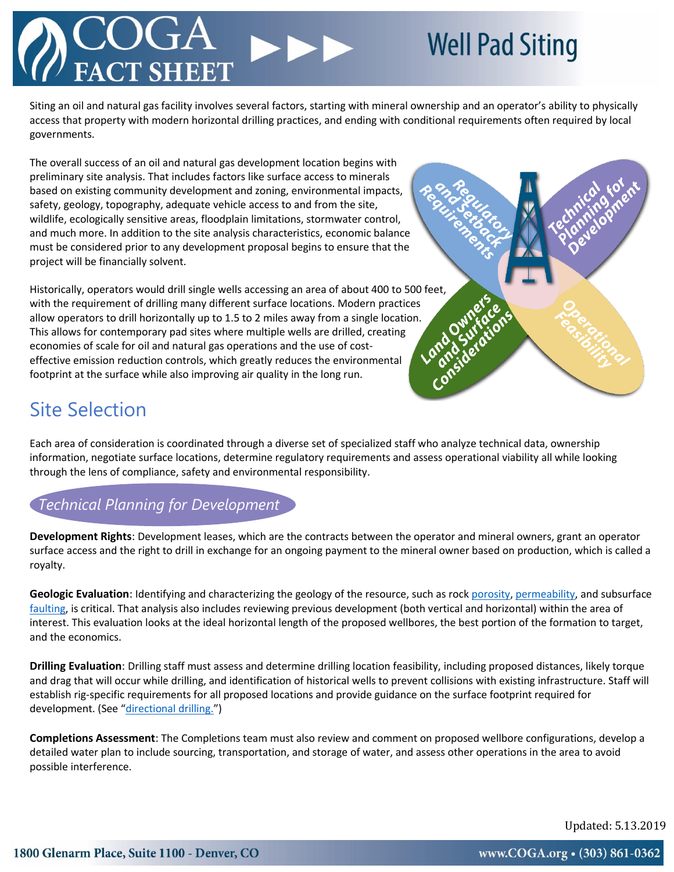# **TT SHEET**

## **Well Pad Siting**

Siting an oil and natural gas facility involves several factors, starting with mineral ownership and an operator's ability to physically access that property with modern horizontal drilling practices, and ending with conditional requirements often required by local governments.

The overall success of an oil and natural gas development location begins with preliminary site analysis. That includes factors like surface access to minerals based on existing community development and zoning, environmental impacts, safety, geology, topography, adequate vehicle access to and from the site, wildlife, ecologically sensitive areas, floodplain limitations, stormwater control, and much more. In addition to the site analysis characteristics, economic balance must be considered prior to any development proposal begins to ensure that the project will be financially solvent.

Historically, operators would drill single wells accessing an area of about 400 to 500 feet, with the requirement of drilling many different surface locations. Modern practices allow operators to drill horizontally up to 1.5 to 2 miles away from a single location. This allows for contemporary pad sites where multiple wells are drilled, creating economies of scale for oil and natural gas operations and the use of costeffective emission reduction controls, which greatly reduces the environmental footprint at the surface while also improving air quality in the long run.



### Site Selection

Each area of consideration is coordinated through a diverse set of specialized staff who analyze technical data, ownership information, negotiate surface locations, determine regulatory requirements and assess operational viability all while looking through the lens of compliance, safety and environmental responsibility.

#### *Technical Planning for Development*

**Development Rights**: Development leases, which are the contracts between the operator and mineral owners, grant an operator surface access and the right to drill in exchange for an ongoing payment to the mineral owner based on production, which is called a royalty.

**Geologic Evaluation**: Identifying and characterizing the geology of the resource, such as rock [porosity,](https://en.wikipedia.org/wiki/Porosity) [permeability,](https://en.wikipedia.org/wiki/Permeability) and subsurface [faulting,](https://en.wikipedia.org/wiki/Fault_(geology)) is critical. That analysis also includes reviewing previous development (both vertical and horizontal) within the area of interest. This evaluation looks at the ideal horizontal length of the proposed wellbores, the best portion of the formation to target, and the economics.

**Drilling Evaluation**: Drilling staff must assess and determine drilling location feasibility, including proposed distances, likely torque and drag that will occur while drilling, and identification of historical wells to prevent collisions with existing infrastructure. Staff will establish rig-specific requirements for all proposed locations and provide guidance on the surface footprint required for development. (See "[directional drilling.](https://en.wikipedia.org/wiki/Directional_drilling)")

**Completions Assessment**: The Completions team must also review and comment on proposed wellbore configurations, develop a detailed water plan to include sourcing, transportation, and storage of water, and assess other operations in the area to avoid possible interference.

Updated: 5.13.2019